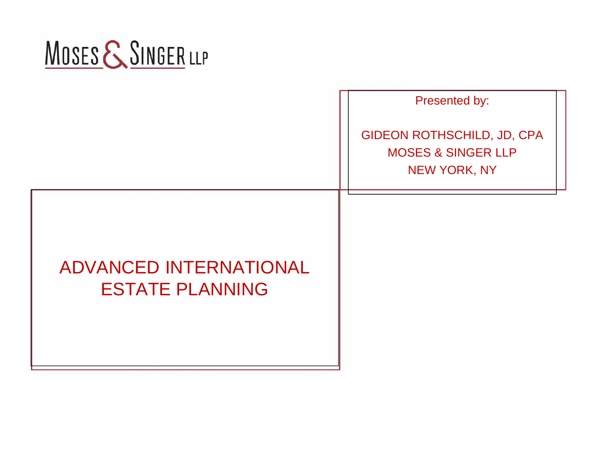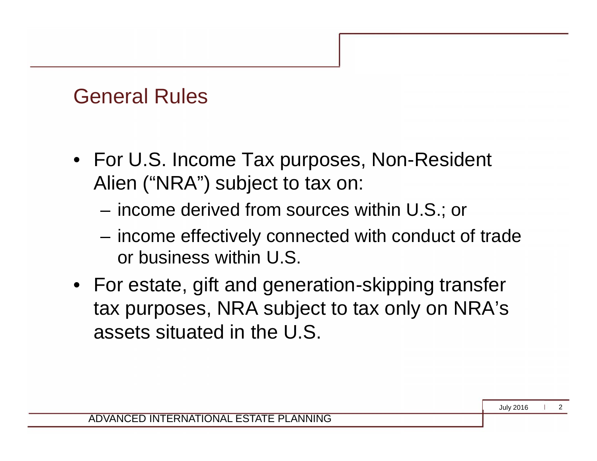#### General Rules

- For U.S. Income Tax purposes, Non-Resident Alien ("NRA") subject to tax on:
	- income derived from sources within U.S.; or
	- income effectively connected with conduct of trade or business within U.S.
- For estate, gift and generation-skipping transfer tax purposes, NRA subject to tax only on NRA's assets situated in the U.S.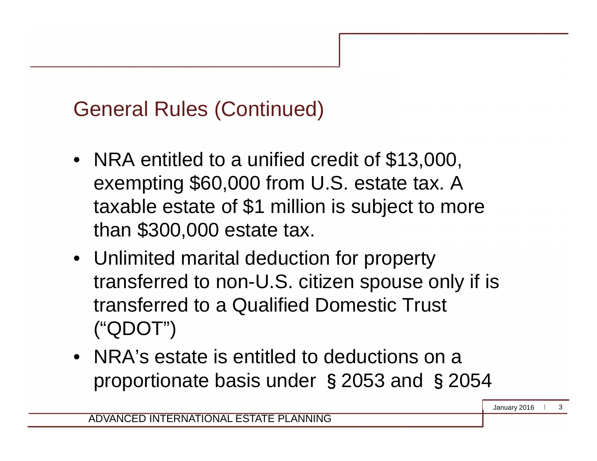# General Rules (Continued)

- NRA entitled to a unified credit of \$13,000, exempting \$60,000 from U.S. estate tax. A taxable estate of \$1 million is subject to more than \$300,000 estate tax.
- Unlimited marital deduction for property transferred to non-U.S. citizen spouse only if is transferred to a Qualified Domestic Trust ("QDOT")
- NRA's estate is entitled to deductions on a proportionate basis under §2053 and §2054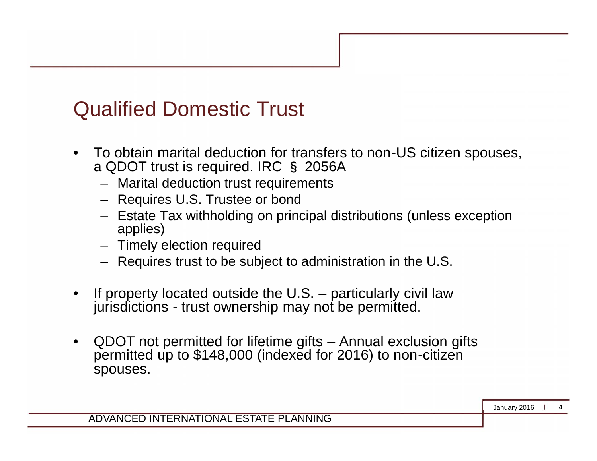#### Qualified Domestic Trust

- To obtain marital deduction for transfers to non-US citizen spouses, a QDOT trust is required. IRC § 2056A
	- Marital deduction trust requirements
	- Requires U.S. Trustee or bond
	- Estate Tax withholding on principal distributions (unless exception applies)
	- Timely election required
	- Requires trust to be subject to administration in the U.S.
- If property located outside the  $U.S.$  particularly civil law jurisdictions - trust ownership may not be permitted.
- QDOT not permitted for lifetime gifts Annual exclusion gifts permitted up to \$148,000 (indexed for 2016) to non-citizen spouses.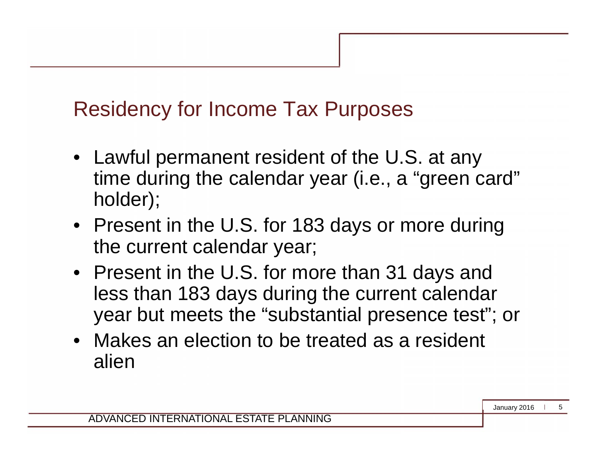# Residency for Income Tax Purposes

- Lawful permanent resident of the U.S. at any time during the calendar year (i.e., a "green card" holder);
- Present in the U.S. for 183 days or more during the current calendar year;
- Present in the U.S. for more than 31 days and less than 183 days during the current calendar year but meets the "substantial presence test"; or
- Makes an election to be treated as a resident alien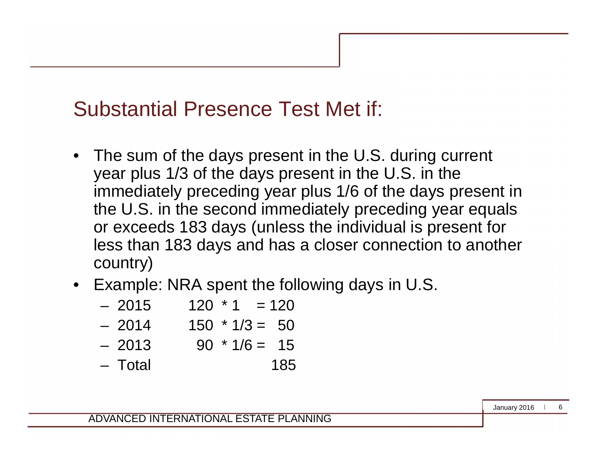#### Substantial Presence Test Met if:

- The sum of the days present in the U.S. during current year plus 1/3 of the days present in the U.S. in the immediately preceding year plus 1/6 of the days present in the U.S. in the second immediately preceding year equals or exceeds 183 days (unless the individual is present for less than 183 days and has a closer connection to another country)
- Example: NRA spent the following days in U.S.
	- $-2015$  120  $*$  1 = 120  $-2014$  150  $*1/3 = 50$
	- $-2013$  90  $*1/6 = 15$
	- Total 185

ADVANCED INTERNATIONAL ESTATE PLANNING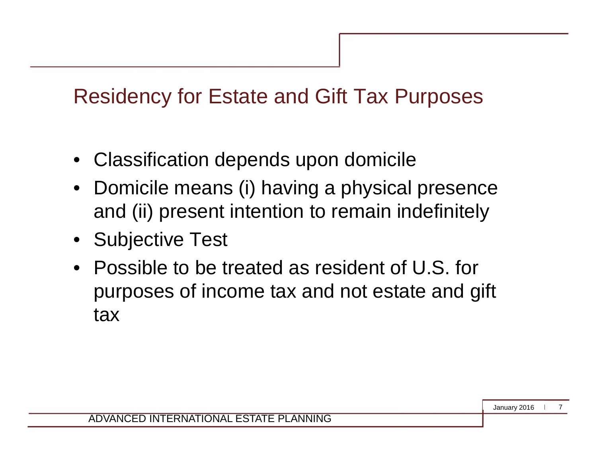#### Residency for Estate and Gift Tax Purposes

- Classification depends upon domicile
- Domicile means (i) having a physical presence and (ii) present intention to remain indefinitely
- Subjective Test
- Possible to be treated as resident of U.S. for purposes of income tax and not estate and gift tax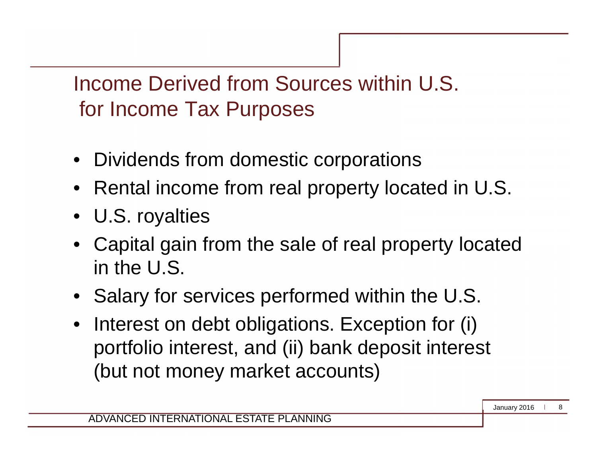Income Derived from Sources within U.S. for Income Tax Purposes

- Dividends from domestic corporations
- Rental income from real property located in U.S.
- U.S. royalties
- Capital gain from the sale of real property located in the U.S.
- Salary for services performed within the U.S.
- Interest on debt obligations. Exception for (i) portfolio interest, and (ii) bank deposit interest (but not money market accounts)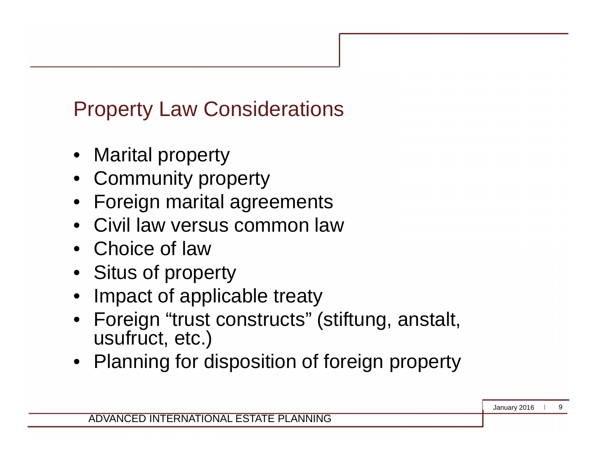# Property Law Considerations

- **Marital property**
- Community property
- Foreign marital agreements
- Civil law versus common law
- Choice of law
- Situs of property
- Impact of applicable treaty
- Foreign "trust constructs" (stiftung, anstalt, usufruct, etc.)
- Planning for disposition of foreign property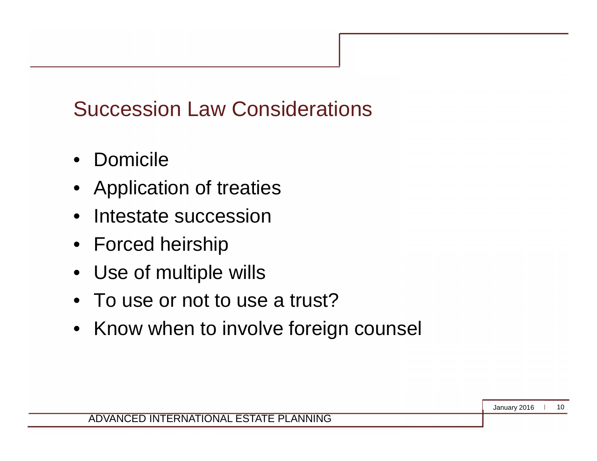# Succession Law Considerations

- Domicile
- Application of treaties
- Intestate succession
- Forced heirship
- Use of multiple wills
- To use or not to use a trust?
- Know when to involve foreign counsel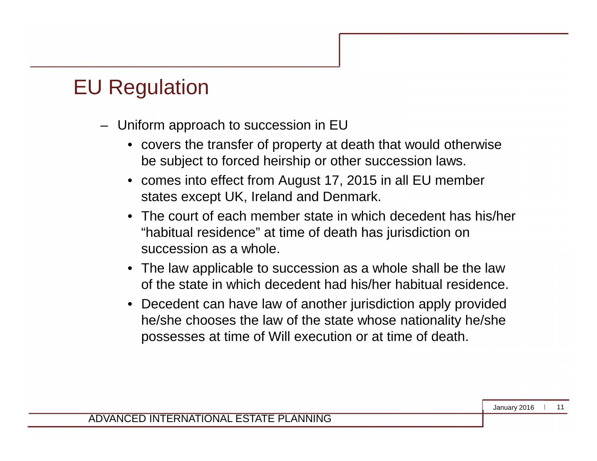#### EU Regulation

- Uniform approach to succession in EU
	- covers the transfer of property at death that would otherwise be subject to forced heirship or other succession laws.
	- comes into effect from August 17, 2015 in all EU member states except UK, Ireland and Denmark.
	- The court of each member state in which decedent has his/her "habitual residence" at time of death has jurisdiction on succession as a whole.
	- The law applicable to succession as a whole shall be the law of the state in which decedent had his/her habitual residence.
	- Decedent can have law of another jurisdiction apply provided he/she chooses the law of the state whose nationality he/she possesses at time of Will execution or at time of death.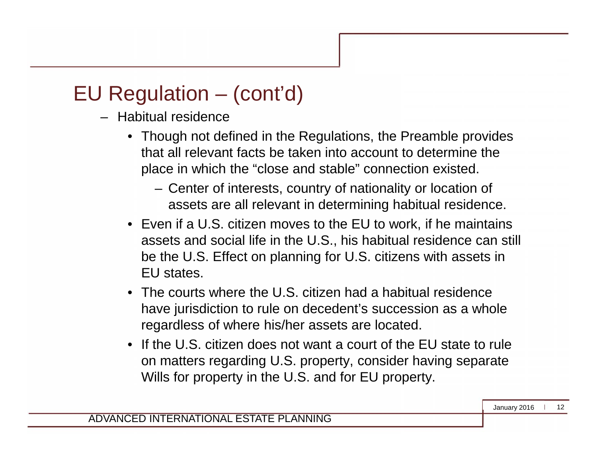# EU Regulation – (cont'd)

- Habitual residence
	- Though not defined in the Regulations, the Preamble provides that all relevant facts be taken into account to determine the place in which the "close and stable" connection existed.
		- Center of interests, country of nationality or location of assets are all relevant in determining habitual residence.
	- Even if a U.S. citizen moves to the EU to work, if he maintains assets and social life in the U.S., his habitual residence can still be the U.S. Effect on planning for U.S. citizens with assets in EU states.
	- The courts where the U.S. citizen had a habitual residence have jurisdiction to rule on decedent's succession as a whole regardless of where his/her assets are located.
	- If the U.S. citizen does not want a court of the FU state to rule on matters regarding U.S. property, consider having separate Wills for property in the U.S. and for EU property.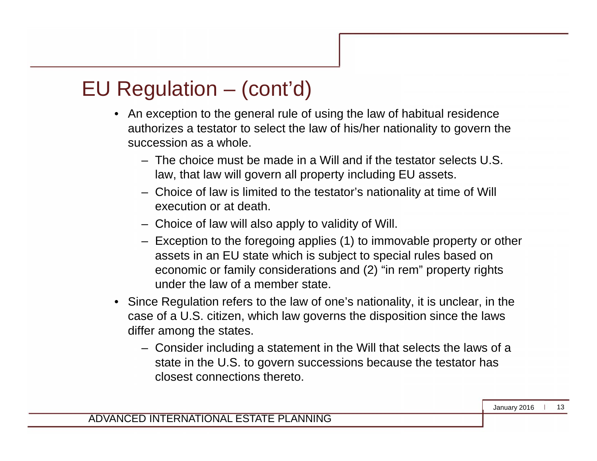#### EU Regulation – (cont'd)

- An exception to the general rule of using the law of habitual residence authorizes a testator to select the law of his/her nationality to govern the succession as a whole.
	- The choice must be made in a Will and if the testator selects U.S. law, that law will govern all property including EU assets.
	- Choice of law is limited to the testator's nationality at time of Will execution or at death.
	- Choice of law will also apply to validity of Will.
	- Exception to the foregoing applies (1) to immovable property or other assets in an EU state which is subject to special rules based on economic or family considerations and (2) "in rem" property rights under the law of a member state.
- Since Regulation refers to the law of one's nationality, it is unclear, in the case of a U.S. citizen, which law governs the disposition since the laws differ among the states.
	- Consider including a statement in the Will that selects the laws of a state in the U.S. to govern successions because the testator has closest connections thereto.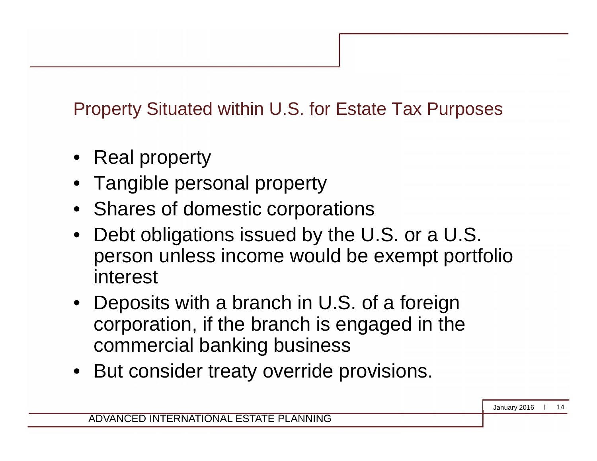Property Situated within U.S. for Estate Tax Purposes

- Real property
- Tangible personal property
- Shares of domestic corporations
- Debt obligations issued by the U.S. or a U.S. person unless income would be exempt portfolio interest
- Deposits with a branch in U.S. of a foreign corporation, if the branch is engaged in the commercial banking business
- But consider treaty override provisions.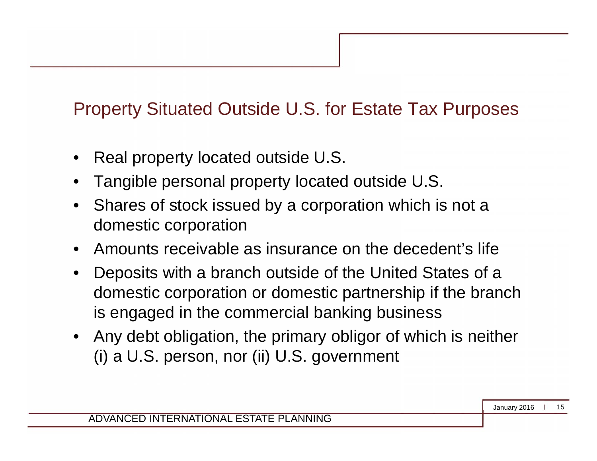#### Property Situated Outside U.S. for Estate Tax Purposes

- Real property located outside U.S.
- Tangible personal property located outside U.S.
- Shares of stock issued by a corporation which is not a domestic corporation
- Amounts receivable as insurance on the decedent's life
- Deposits with a branch outside of the United States of a domestic corporation or domestic partnership if the branch is engaged in the commercial banking business
- Any debt obligation, the primary obligor of which is neither (i) a U.S. person, nor (ii) U.S. government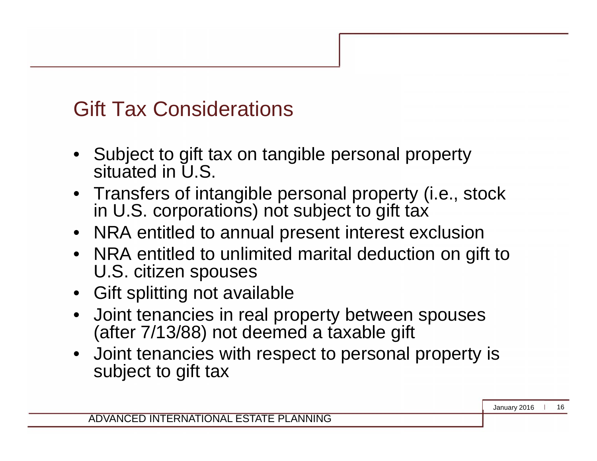## Gift Tax Considerations

- Subject to gift tax on tangible personal property situated in U.S.
- Transfers of intangible personal property (i.e., stock in U.S. corporations) not subject to gift tax
- NRA entitled to annual present interest exclusion
- NRA entitled to unlimited marital deduction on gift to U.S. citizen spouses
- Gift splitting not available
- Joint tenancies in real property between spouses (after 7/13/88) not deemed a taxable gift
- Joint tenancies with respect to personal property is subject to gift tax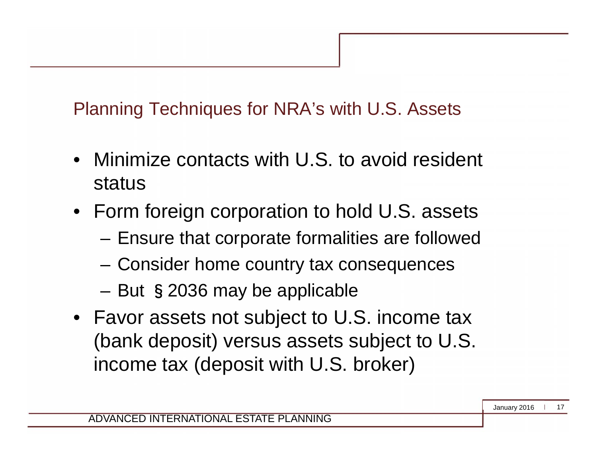Planning Techniques for NRA's with U.S. Assets

- Minimize contacts with U.S. to avoid resident status
- Form foreign corporation to hold U.S. assets
	- Ensure that corporate formalities are followed
	- Consider home country tax consequences
	- But §2036 may be applicable
- Favor assets not subject to U.S. income tax (bank deposit) versus assets subject to U.S. income tax (deposit with U.S. broker)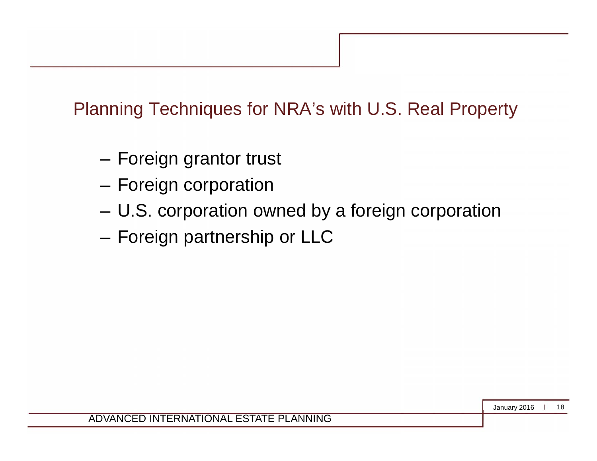#### Planning Techniques for NRA's with U.S. Real Property

- Foreign grantor trust
- Foreign corporation
- U.S. corporation owned by a foreign corporation
- Foreign partnership or LLC

January 2016 18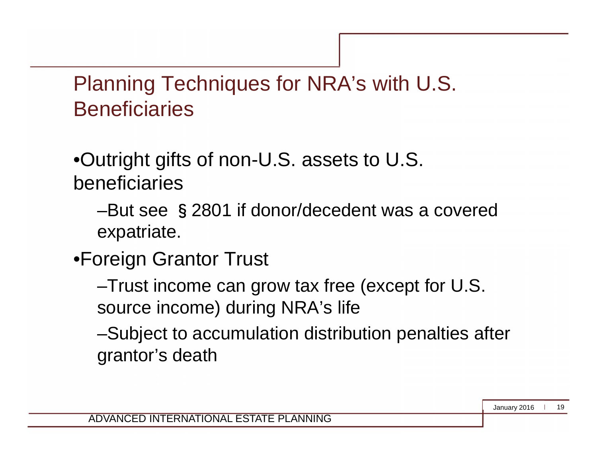Planning Techniques for NRA's with U.S. **Beneficiaries** 

•Outright gifts of non-U.S. assets to U.S. beneficiaries

–But see §2801 if donor/decedent was a covered expatriate.

•Foreign Grantor Trust

–Trust income can grow tax free (except for U.S. source income) during NRA's life

–Subject to accumulation distribution penalties after grantor's death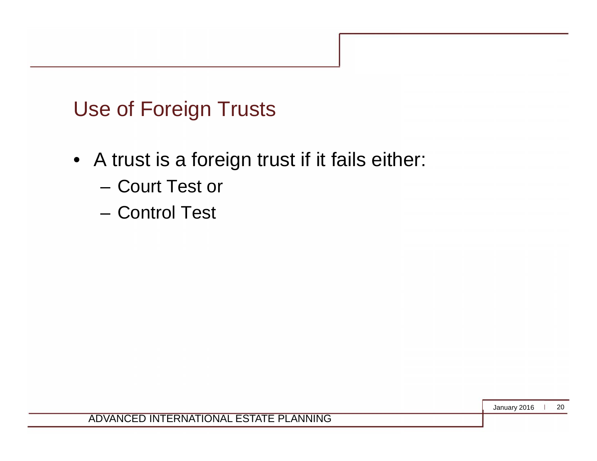# Use of Foreign Trusts

- A trust is a foreign trust if it fails either:
	- Court Test or
	- Control Test

January 2016 20

ADVANCED INTERNATIONAL ESTATE PLANNING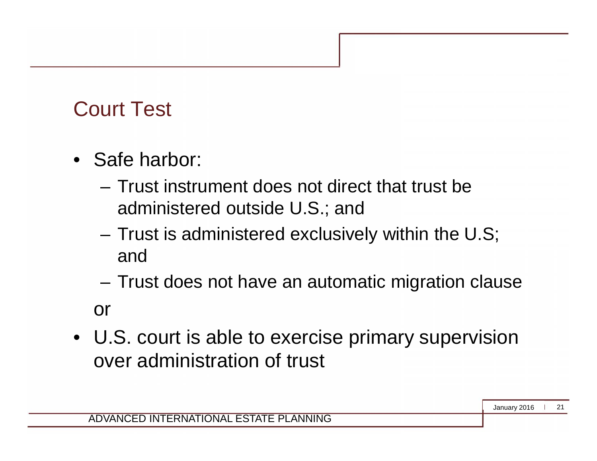### Court Test

- Safe harbor:
	- Trust instrument does not direct that trust be administered outside U.S.; and
	- Trust is administered exclusively within the U.S; and
	- Trust does not have an automatic migration clause or
- U.S. court is able to exercise primary supervision over administration of trust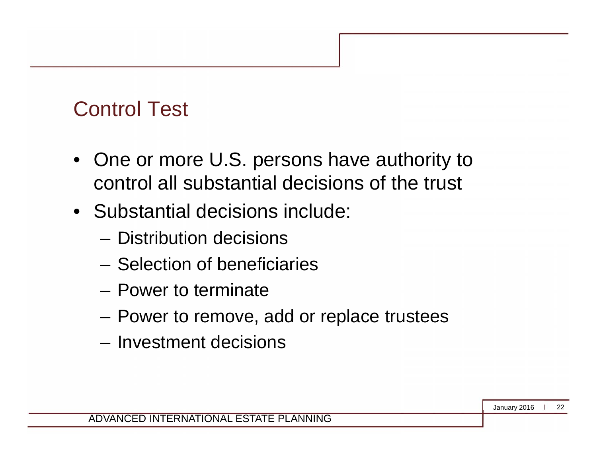#### Control Test

- One or more U.S. persons have authority to control all substantial decisions of the trust
- Substantial decisions include:
	- Distribution decisions
	- Selection of beneficiaries
	- Power to terminate
	- Power to remove, add or replace trustees
	- Investment decisions

January 2016 22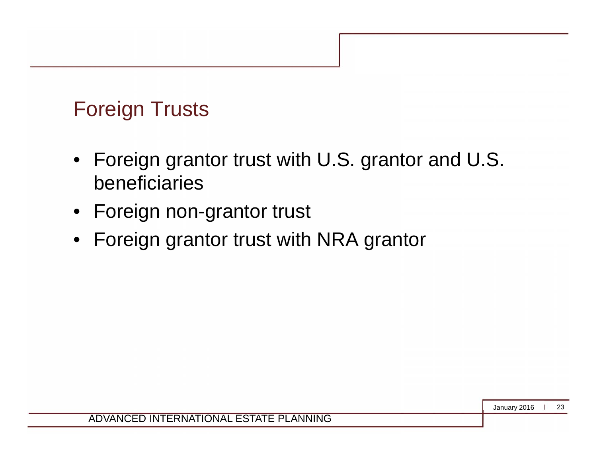#### Foreign Trusts

- Foreign grantor trust with U.S. grantor and U.S. beneficiaries
- Foreign non-grantor trust
- Foreign grantor trust with NRA grantor

January 2016 23

ADVANCED INTERNATIONAL ESTATE PLANNING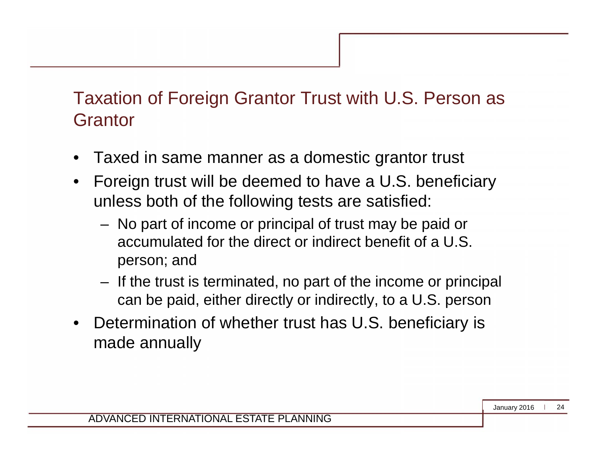#### Taxation of Foreign Grantor Trust with U.S. Person as **Grantor**

- Taxed in same manner as a domestic grantor trust
- Foreign trust will be deemed to have a U.S. beneficiary unless both of the following tests are satisfied:
	- No part of income or principal of trust may be paid or accumulated for the direct or indirect benefit of a U.S. person; and
	- If the trust is terminated, no part of the income or principal can be paid, either directly or indirectly, to a U.S. person
- Determination of whether trust has U.S. beneficiary is made annually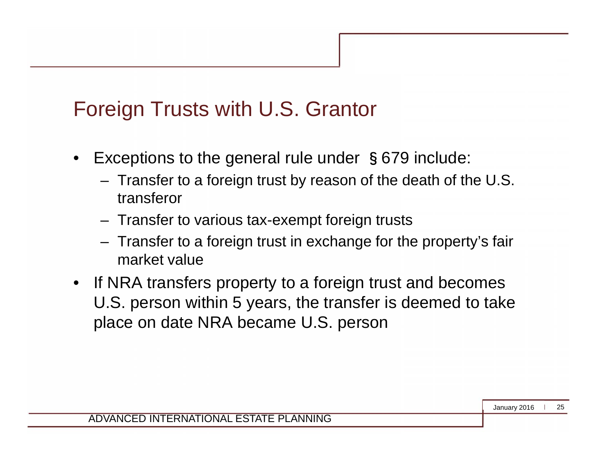#### Foreign Trusts with U.S. Grantor

- Exceptions to the general rule under §679 include:
	- Transfer to a foreign trust by reason of the death of the U.S. transferor
	- Transfer to various tax-exempt foreign trusts
	- Transfer to a foreign trust in exchange for the property's fair market value
- If NRA transfers property to a foreign trust and becomes U.S. person within 5 years, the transfer is deemed to take place on date NRA became U.S. person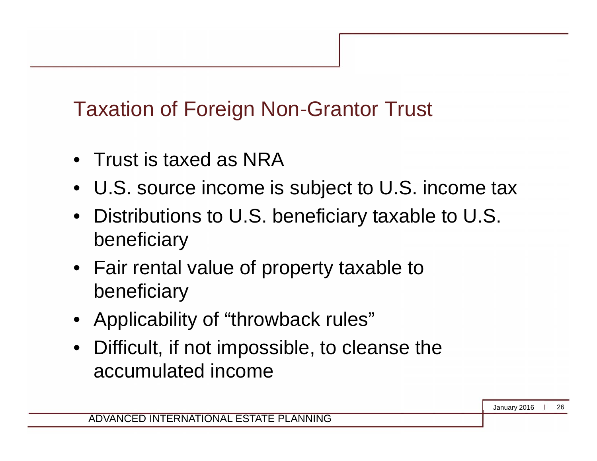# Taxation of Foreign Non-Grantor Trust

- Trust is taxed as NRA
- U.S. source income is subject to U.S. income tax
- Distributions to U.S. beneficiary taxable to U.S. beneficiary
- Fair rental value of property taxable to beneficiary
- Applicability of "throwback rules"
- Difficult, if not impossible, to cleanse the accumulated income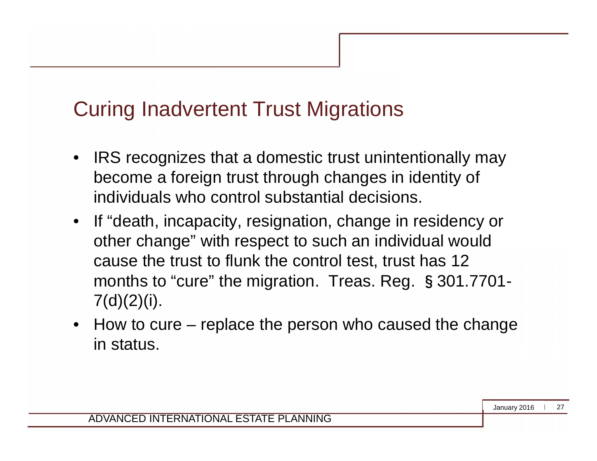#### Curing Inadvertent Trust Migrations

- IRS recognizes that a domestic trust unintentionally may become a foreign trust through changes in identity of individuals who control substantial decisions.
- If "death, incapacity, resignation, change in residency or other change" with respect to such an individual would cause the trust to flunk the control test, trust has 12 months to "cure" the migration. Treas. Reg. §301.7701-  $7(d)(2)(i)$ .
- How to cure replace the person who caused the change in status.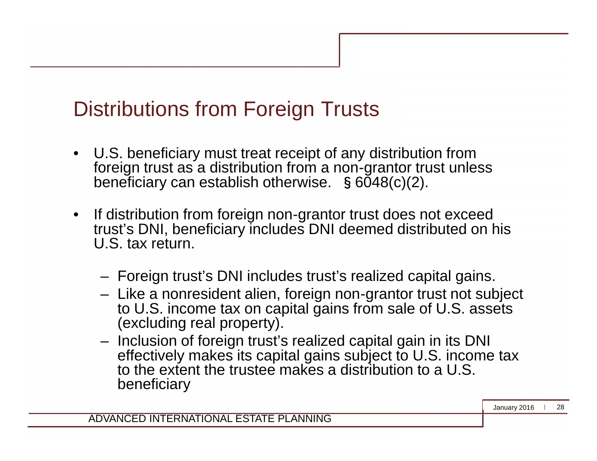#### Distributions from Foreign Trusts

- U.S. beneficiary must treat receipt of any distribution from foreign trust as a distribution from a non-grantor trust unless beneficiary can establish otherwise. §6048(c)(2).
- If distribution from foreign non-grantor trust does not exceed trust's DNI, beneficiary includes DNI deemed distributed on his U.S. tax return.
	- Foreign trust's DNI includes trust's realized capital gains.
	- Like a nonresident alien, foreign non-grantor trust not subject to U.S. income tax on capital gains from sale of U.S. assets (excluding real property).
	- Inclusion of foreign trust's realized capital gain in its DNI effectively makes its capital gains subject to U.S. income tax to the extent the trustee makes a distribution to a U.S. beneficiary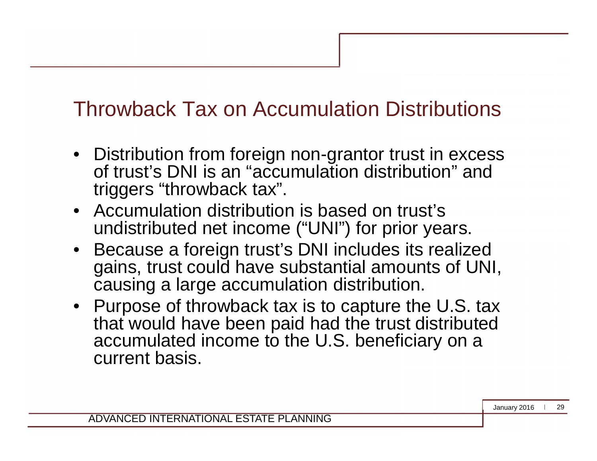#### Throwback Tax on Accumulation Distributions

- Distribution from foreign non-grantor trust in excess of trust's DNI is an "accumulation distribution" and triggers "throwback tax".
- Accumulation distribution is based on trust's undistributed net income ("UNI") for prior years.
- Because a foreign trust's DNI includes its realized gains, trust could have substantial amounts of UNI, causing a large accumulation distribution.
- Purpose of throwback tax is to capture the U.S. tax that would have been paid had the trust distributed accumulated income to the U.S. beneficiary on a current basis.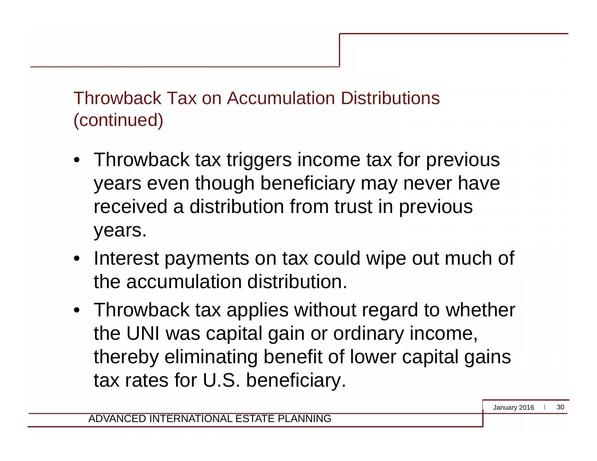Throwback Tax on Accumulation Distributions (continued)

- Throwback tax triggers income tax for previous years even though beneficiary may never have received a distribution from trust in previous years.
- Interest payments on tax could wipe out much of the accumulation distribution.
- Throwback tax applies without regard to whether the UNI was capital gain or ordinary income, thereby eliminating benefit of lower capital gains tax rates for U.S. beneficiary.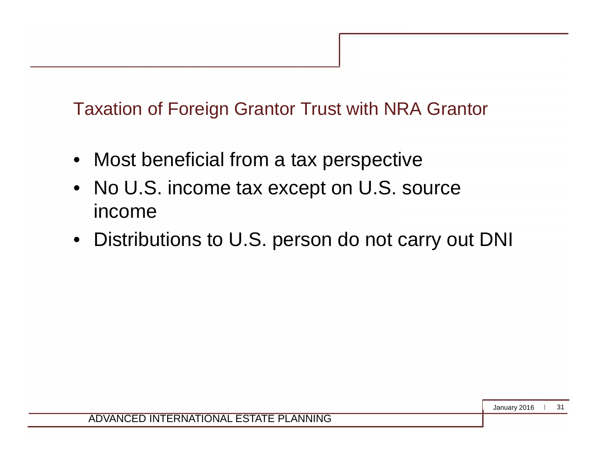Taxation of Foreign Grantor Trust with NRA Grantor

- Most beneficial from a tax perspective
- No U.S. income tax except on U.S. source income
- Distributions to U.S. person do not carry out DNI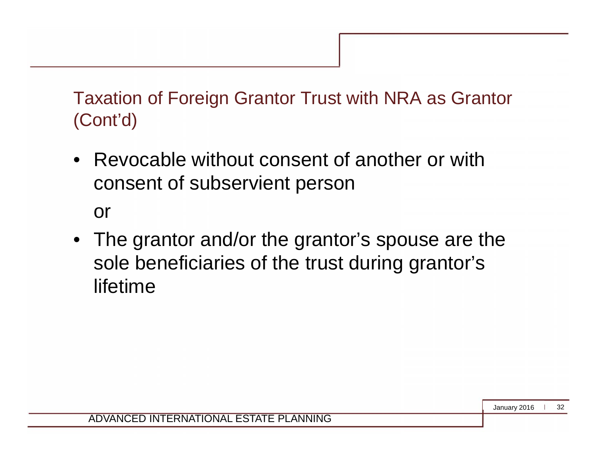Taxation of Foreign Grantor Trust with NRA as Grantor (Cont'd)

• Revocable without consent of another or with consent of subservient person

or

• The grantor and/or the grantor's spouse are the sole beneficiaries of the trust during grantor's lifetime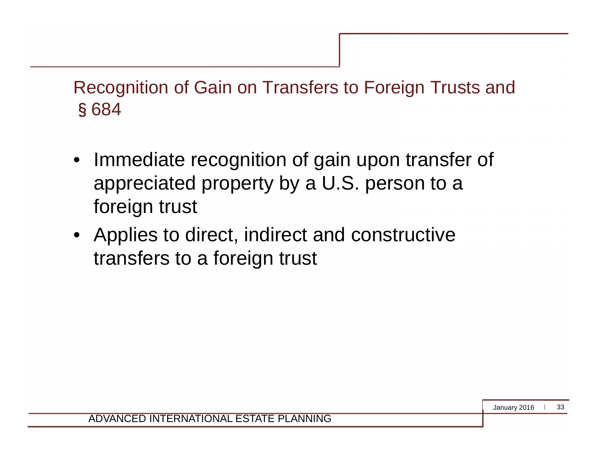Recognition of Gain on Transfers to Foreign Trusts and §684

- Immediate recognition of gain upon transfer of appreciated property by a U.S. person to a foreign trust
- Applies to direct, indirect and constructive transfers to a foreign trust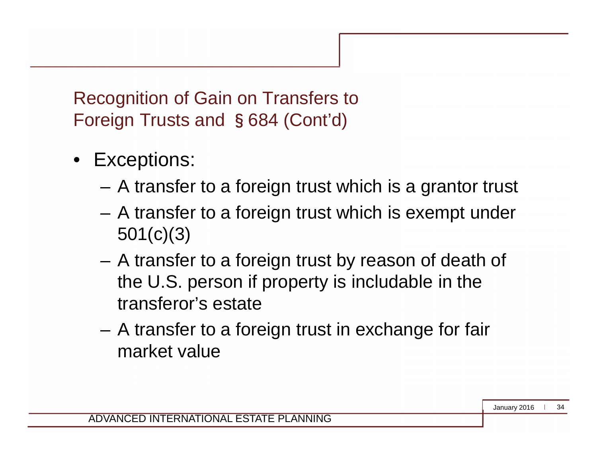Recognition of Gain on Transfers to Foreign Trusts and §684 (Cont'd)

- Exceptions:
	- A transfer to a foreign trust which is a grantor trust
	- A transfer to a foreign trust which is exempt under 501(c)(3)
	- A transfer to a foreign trust by reason of death of the U.S. person if property is includable in the transferor's estate
	- A transfer to a foreign trust in exchange for fair market value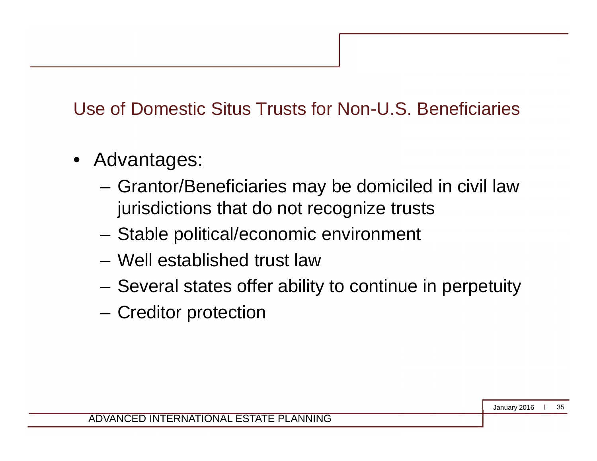#### Use of Domestic Situs Trusts for Non-U.S. Beneficiaries

- Advantages:
	- Grantor/Beneficiaries may be domiciled in civil law jurisdictions that do not recognize trusts
	- Stable political/economic environment
	- Well established trust law
	- Several states offer ability to continue in perpetuity
	- Creditor protection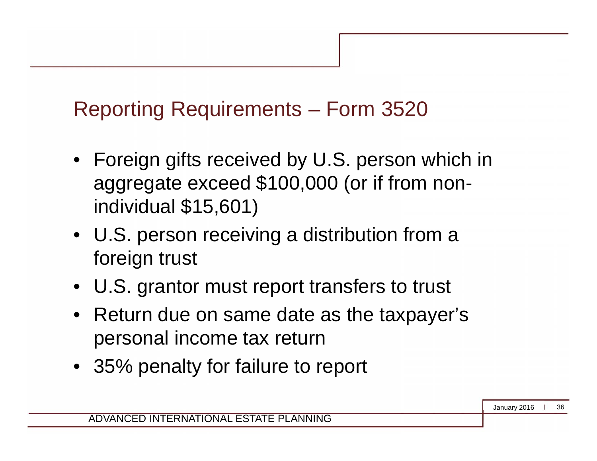# Reporting Requirements – Form 3520

- Foreign gifts received by U.S. person which in aggregate exceed \$100,000 (or if from nonindividual \$15,601)
- U.S. person receiving a distribution from a foreign trust
- U.S. grantor must report transfers to trust
- Return due on same date as the taxpayer's personal income tax return
- 35% penalty for failure to report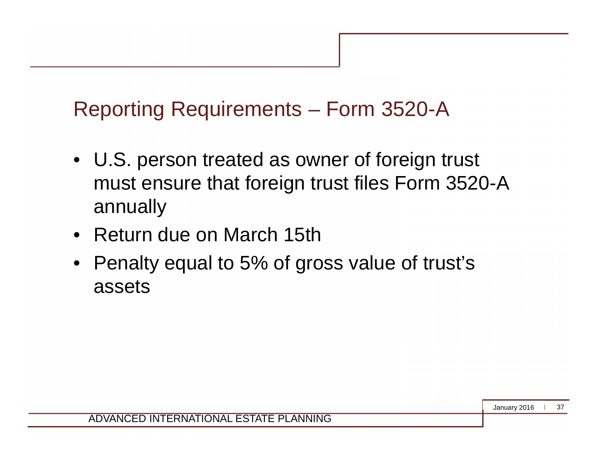#### Reporting Requirements – Form 3520-A

- U.S. person treated as owner of foreign trust must ensure that foreign trust files Form 3520-A annually
- Return due on March 15th
- Penalty equal to 5% of gross value of trust's assets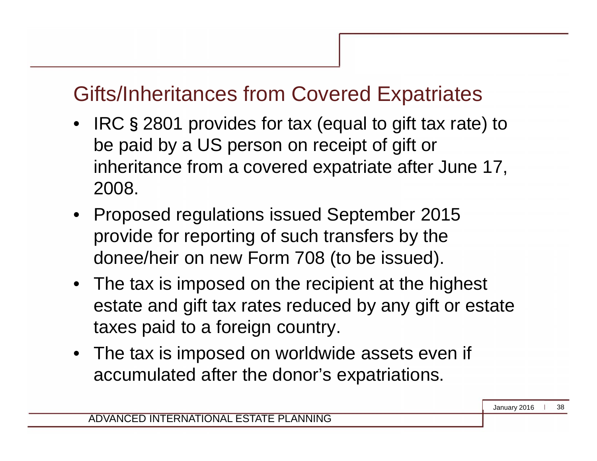- IRC § 2801 provides for tax (equal to gift tax rate) to be paid by a US person on receipt of gift or inheritance from a covered expatriate after June 17, 2008.
- Proposed regulations issued September 2015 provide for reporting of such transfers by the donee/heir on new Form 708 (to be issued).
- The tax is imposed on the recipient at the highest estate and gift tax rates reduced by any gift or estate taxes paid to a foreign country.
- The tax is imposed on worldwide assets even if accumulated after the donor's expatriations.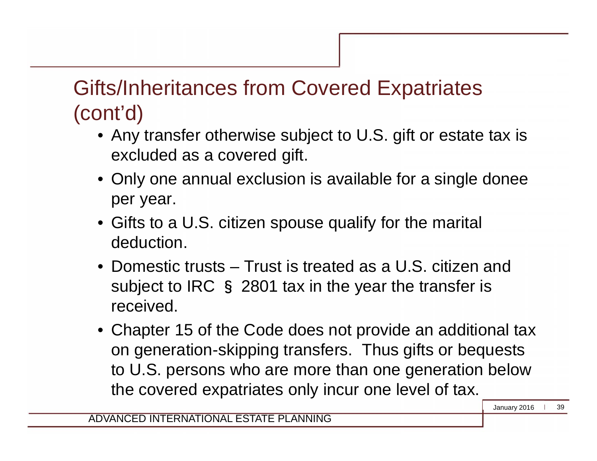- Any transfer otherwise subject to U.S. gift or estate tax is excluded as a covered gift.
- Only one annual exclusion is available for a single donee per year.
- Gifts to a U.S. citizen spouse qualify for the marital deduction.
- Domestic trusts Trust is treated as a U.S. citizen and subject to IRC § 2801 tax in the year the transfer is received.
- Chapter 15 of the Code does not provide an additional tax on generation-skipping transfers. Thus gifts or bequests to U.S. persons who are more than one generation below the covered expatriates only incur one level of tax.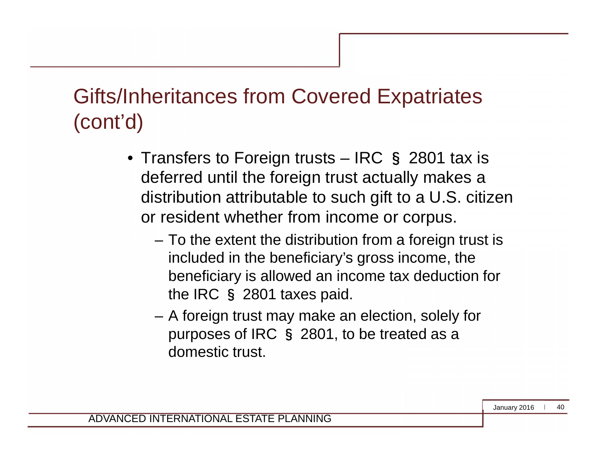- Transfers to Foreign trusts IRC § 2801 tax is deferred until the foreign trust actually makes a distribution attributable to such gift to a U.S. citizen or resident whether from income or corpus.
	- To the extent the distribution from a foreign trust is included in the beneficiary's gross income, the beneficiary is allowed an income tax deduction for the IRC § 2801 taxes paid.
	- A foreign trust may make an election, solely for purposes of IRC § 2801, to be treated as a domestic trust.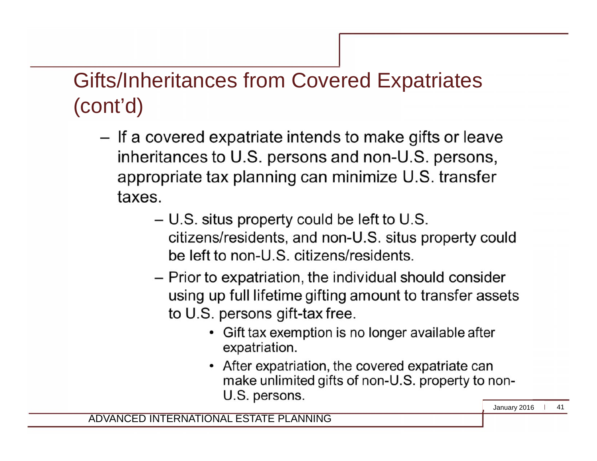- If a covered expatriate intends to make gifts or leave inheritances to U.S. persons and non-U.S. persons, appropriate tax planning can minimize U.S. transfer taxes.
	- U.S. situs property could be left to U.S. citizens/residents, and non-U.S. situs property could be left to non-U.S. citizens/residents.
	- Prior to expatriation, the individual should consider using up full lifetime gifting amount to transfer assets to U.S. persons gift-tax free.
		- Gift tax exemption is no longer available after expatriation.
		- After expatriation, the covered expatriate can make unlimited gifts of non-U.S. property to non-U.S. persons.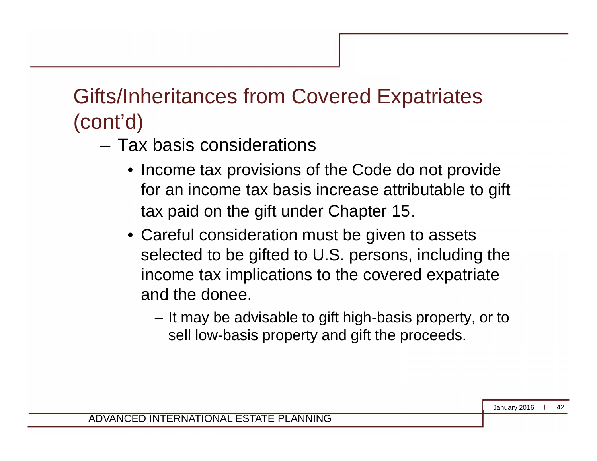- Tax basis considerations
	- Income tax provisions of the Code do not provide for an income tax basis increase attributable to gift tax paid on the gift under Chapter 15.
	- Careful consideration must be given to assets selected to be gifted to U.S. persons, including the income tax implications to the covered expatriate and the donee.
		- It may be advisable to gift high-basis property, or to sell low-basis property and gift the proceeds.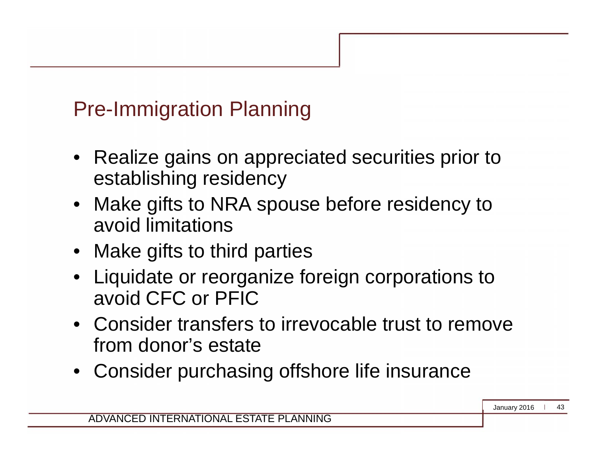# Pre-Immigration Planning

- Realize gains on appreciated securities prior to establishing residency
- Make gifts to NRA spouse before residency to avoid limitations
- Make gifts to third parties
- Liquidate or reorganize foreign corporations to avoid CFC or PFIC
- Consider transfers to irrevocable trust to remove from donor's estate
- Consider purchasing offshore life insurance